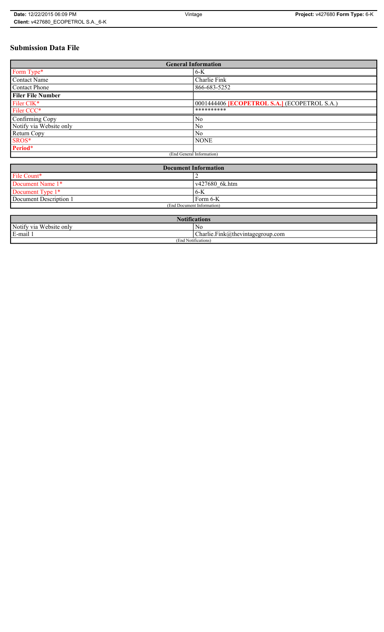# **Submission Data File**

| <b>General Information</b> |                                                     |
|----------------------------|-----------------------------------------------------|
| Form Type*                 | $6-K$                                               |
| <b>Contact Name</b>        | Charlie Fink                                        |
| <b>Contact Phone</b>       | 866-683-5252                                        |
| <b>Filer File Number</b>   |                                                     |
| Filer CIK*                 | 0001444406 <b>[ECOPETROL S.A.]</b> (ECOPETROL S.A.) |
| Filer CCC*                 | **********                                          |
| Confirming Copy            | No                                                  |
| Notify via Website only    | N <sub>0</sub>                                      |
| Return Copy                | N <sub>0</sub>                                      |
| SROS*                      | <b>NONE</b>                                         |
| Period*                    |                                                     |
| (End General Information)  |                                                     |

| <b>Document Information</b> |                |
|-----------------------------|----------------|
| File Count*                 |                |
| Document Name 1*            | v427680 6k.htm |
| Document Type 1*            | 6K             |
| Document Description 1      | Form 6-K       |
| (End Document Information)  |                |

| $\mathbf{M}$<br><b>Notifications</b> |                                      |
|--------------------------------------|--------------------------------------|
| Notify via Website only              | No                                   |
| E-mail                               | $ Charlie.Fink@$ thevintagegroup.com |
| (End Notifications)                  |                                      |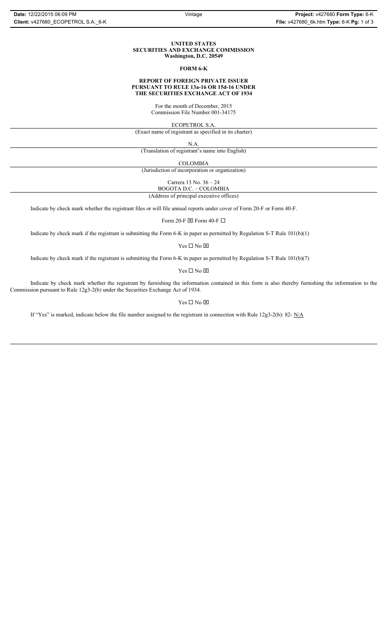#### **UNITED STATES SECURITIES AND EXCHANGE COMMISSION Washington, D.C. 20549**

#### **FORM 6-K**

### **REPORT OF FOREIGN PRIVATE ISSUER PURSUANT TO RULE 13a-16 OR 15d-16 UNDER THE SECURITIES EXCHANGE ACT OF 1934**

For the month of December, 2015 Commission File Number 001-34175

ECOPETROL S.A.

(Exact name of registrant as specified in its charter)

N.A.

(Translation of registrant's name into English)

COLOMBIA

(Jurisdiction of incorporation or organization)

Carrera 13 No. 36 – 24

BOGOTA D.C. – COLOMBIA (Address of principal executive offices)

Indicate by check mark whether the registrant files or will file annual reports under cover of Form 20-F or Form 40-F.

Form 20-F  $\boxtimes$  Form 40-F  $\Box$ 

Indicate by check mark if the registrant is submitting the Form 6-K in paper as permitted by Regulation S-T Rule 101(b)(1)

Yes $\Box$  No  $\boxtimes$ 

Indicate by check mark if the registrant is submitting the Form 6-K in paper as permitted by Regulation S-T Rule 101(b)(7)

Yes $\Box$  No  $\boxtimes$ 

Indicate by check mark whether the registrant by furnishing the information contained in this form is also thereby furnishing the information to the Commission pursuant to Rule 12g3-2(b) under the Securities Exchange Act of 1934.

### $Yes \Box No \boxtimes$

If "Yes" is marked, indicate below the file number assigned to the registrant in connection with Rule 12g3-2(b): 82- N/A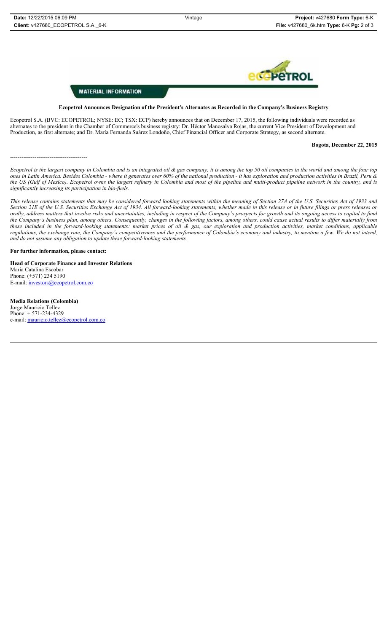

# **MATERIAL INFORMATION**

**Ecopetrol Announces Designation of the President's Alternates as Recorded in the Company's Business Registry**

Ecopetrol S.A. (BVC: ECOPETROL; NYSE: EC; TSX: ECP) hereby announces that on December 17, 2015, the following individuals were recorded as alternates to the president in the Chamber of Commerce's business registry: Dr. Héctor Manosalva Rojas, the current Vice President of Development and Production, as first alternate; and Dr. María Fernanda Suárez Londoño, Chief Financial Officer and Corporate Strategy, as second alternate.

**Bogota, December 22, 2015**

*Ecopetrol is the largest company in Colombia and is an integrated oil & gas company; it is among the top 50 oil companies in the world and among the four top ones in Latin America. Besides Colombia - where it generates over 60% of the national production - it has exploration and production activities in Brazil, Peru & the US (Gulf of Mexico). Ecopetrol owns the largest refinery in Colombia and most of the pipeline and multi-product pipeline network in the country, and is significantly increasing its participation in bio-fuels.*

*This release contains statements that may be considered forward looking statements within the meaning of Section 27A of the U.S. Securities Act of 1933 and Section 21E of the U.S. Securities Exchange Act of 1934. All forward-looking statements, whether made in this release or in future filings or press releases or orally, address matters that involve risks and uncertainties, including in respect of the Company's prospects for growth and its ongoing access to capital to fund the Company's business plan, among others. Consequently, changes in the following factors, among others, could cause actual results to differ materially from those included in the forward-looking statements: market prices of oil & gas, our exploration and production activities, market conditions, applicable regulations, the exchange rate, the Company's competitiveness and the performance of Colombia's economy and industry, to mention a few. We do not intend, and do not assume any obligation to update these forward-looking statements.*

**For further information, please contact:** 

-----------------------------------------

**Head of Corporate Finance and Investor Relations** María Catalina Escobar Phone: (+571) 234 5190 E-mail: investors@ecopetrol.com.co

**Media Relations (Colombia)**  Jorge Mauricio Tellez Phone: + 571-234-4329 e-mail: mauricio.tellez@ecopetrol.com.co